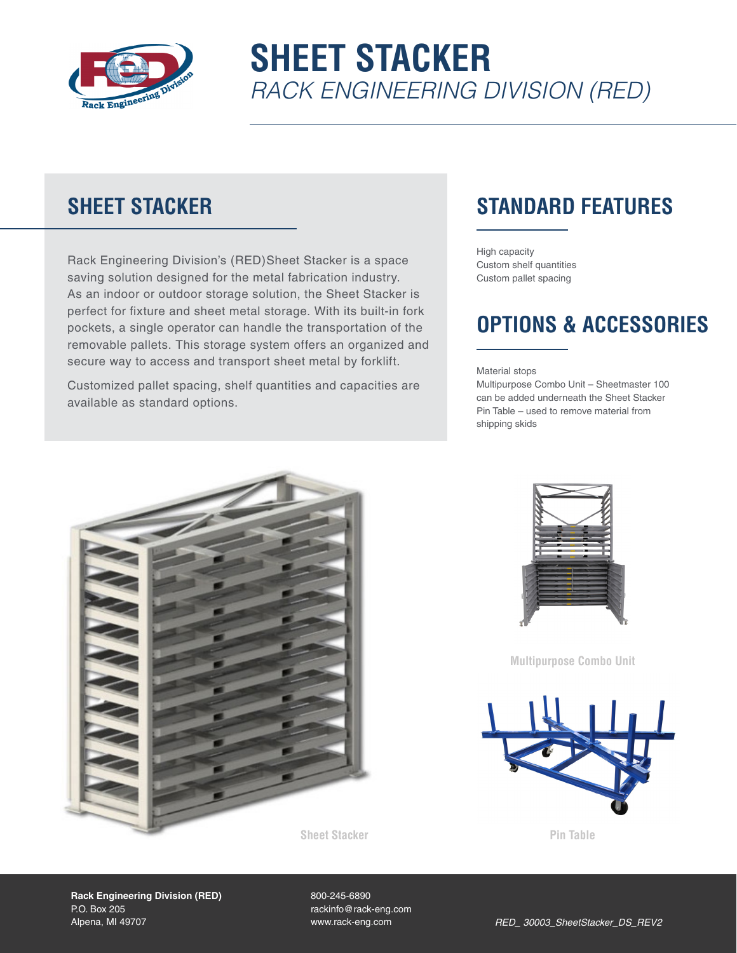

# **SHEET STACKER** *RACK ENGINEERING DIVISION (RED)*

#### **SHEET STACKER**

Rack Engineering Division's (RED)Sheet Stacker is a space saving solution designed for the metal fabrication industry. As an indoor or outdoor storage solution, the Sheet Stacker is perfect for fixture and sheet metal storage. With its built-in fork pockets, a single operator can handle the transportation of the removable pallets. This storage system offers an organized and secure way to access and transport sheet metal by forklift.

Customized pallet spacing, shelf quantities and capacities are available as standard options.

### **STANDARD FEATURES**

High capacity Custom shelf quantities Custom pallet spacing

#### **OPTIONS & ACCESSORIES**

Material stops

Multipurpose Combo Unit – Sheetmaster 100 can be added underneath the Sheet Stacker Pin Table – used to remove material from shipping skids





**Multipurpose Combo Unit**



**Rack Engineering Division (RED)** P.O. Box 205 Alpena, MI 49707

800-245-6890 rackinfo@rack-eng.com